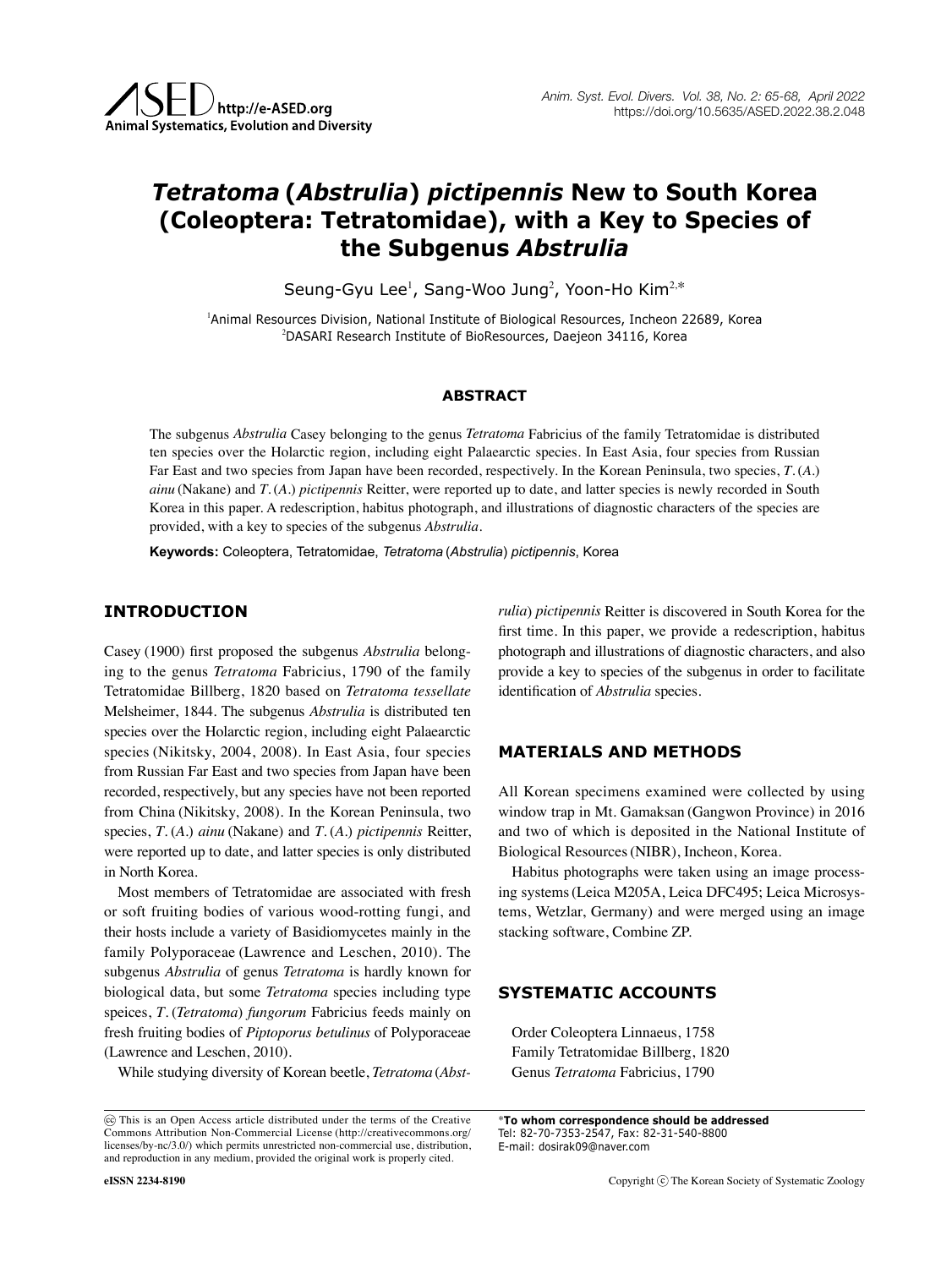# *Tetratoma* **(***Abstrulia***)** *pictipennis* **New to South Korea (Coleoptera: Tetratomidae), with a Key to Species of the Subgenus** *Abstrulia*

Seung-Gyu Lee<sup>1</sup>, Sang-Woo Jung<sup>2</sup>, Yoon-Ho Kim<sup>2,\*</sup>

1 Animal Resources Division, National Institute of Biological Resources, Incheon 22689, Korea  $^{2}$ DASARI Research Institute of BioResources, Daejeon 34116, Korea

#### **ABSTRACT**

The subgenus *Abstrulia* Casey belonging to the genus *Tetratoma* Fabricius of the family Tetratomidae is distributed ten species over the Holarctic region, including eight Palaearctic species. In East Asia, four species from Russian Far East and two species from Japan have been recorded, respectively. In the Korean Peninsula, two species, *T*. (*A*.) *ainu* (Nakane) and *T*. (*A*.) *pictipennis* Reitter, were reported up to date, and latter species is newly recorded in South Korea in this paper. A redescription, habitus photograph, and illustrations of diagnostic characters of the species are provided, with a key to species of the subgenus *Abstrulia*.

**Keywords:** Coleoptera, Tetratomidae, *Tetratoma* (*Abstrulia*) *pictipennis*, Korea

### **INTRODUCTION**

Casey (1900) first proposed the subgenus *Abstrulia* belonging to the genus *Tetratoma* Fabricius, 1790 of the family Tetratomidae Billberg, 1820 based on *Tetratoma tessellate* Melsheimer, 1844. The subgenus *Abstrulia* is distributed ten species over the Holarctic region, including eight Palaearctic species (Nikitsky, 2004, 2008). In East Asia, four species from Russian Far East and two species from Japan have been recorded, respectively, but any species have not been reported from China (Nikitsky, 2008). In the Korean Peninsula, two species, *T*. (*A*.) *ainu* (Nakane) and *T*. (*A*.) *pictipennis* Reitter, were reported up to date, and latter species is only distributed in North Korea.

Most members of Tetratomidae are associated with fresh or soft fruiting bodies of various wood-rotting fungi, and their hosts include a variety of Basidiomycetes mainly in the family Polyporaceae (Lawrence and Leschen, 2010). The subgenus *Abstrulia* of genus *Tetratoma* is hardly known for biological data, but some *Tetratoma* species including type speices, *T*. (*Tetratoma*) *fungorum* Fabricius feeds mainly on fresh fruiting bodies of *Piptoporus betulinus* of Polyporaceae (Lawrence and Leschen, 2010).

While studying diversity of Korean beetle, *Tetratoma* (*Abst-*

*rulia*) *pictipennis* Reitter is discovered in South Korea for the first time. In this paper, we provide a redescription, habitus photograph and illustrations of diagnostic characters, and also provide a key to species of the subgenus in order to facilitate identification of *Abstrulia* species.

#### **MATERIALS AND METHODS**

All Korean specimens examined were collected by using window trap in Mt. Gamaksan (Gangwon Province) in 2016 and two of which is deposited in the National Institute of Biological Resources(NIBR), Incheon, Korea.

Habitus photographs were taken using an image processing systems(Leica M205A, Leica DFC495; Leica Microsystems, Wetzlar, Germany) and were merged using an image stacking software, Combine ZP.

#### **SYSTEMATIC ACCOUNTS**

Order Coleoptera Linnaeus, 1758 Family Tetratomidae Billberg, 1820 Genus *Tetratoma* Fabricius, 1790

\***To whom correspondence should be addressed** Tel: 82-70-7353-2547, Fax: 82-31-540-8800 E-mail: dosirak09@naver.com

This is an Open Access article distributed under the terms of the Creative Commons Attribution Non-Commercial License (http://creativecommons.org/ licenses/by-nc/3.0/) which permits unrestricted non-commercial use, distribution, and reproduction in any medium, provided the original work is properly cited.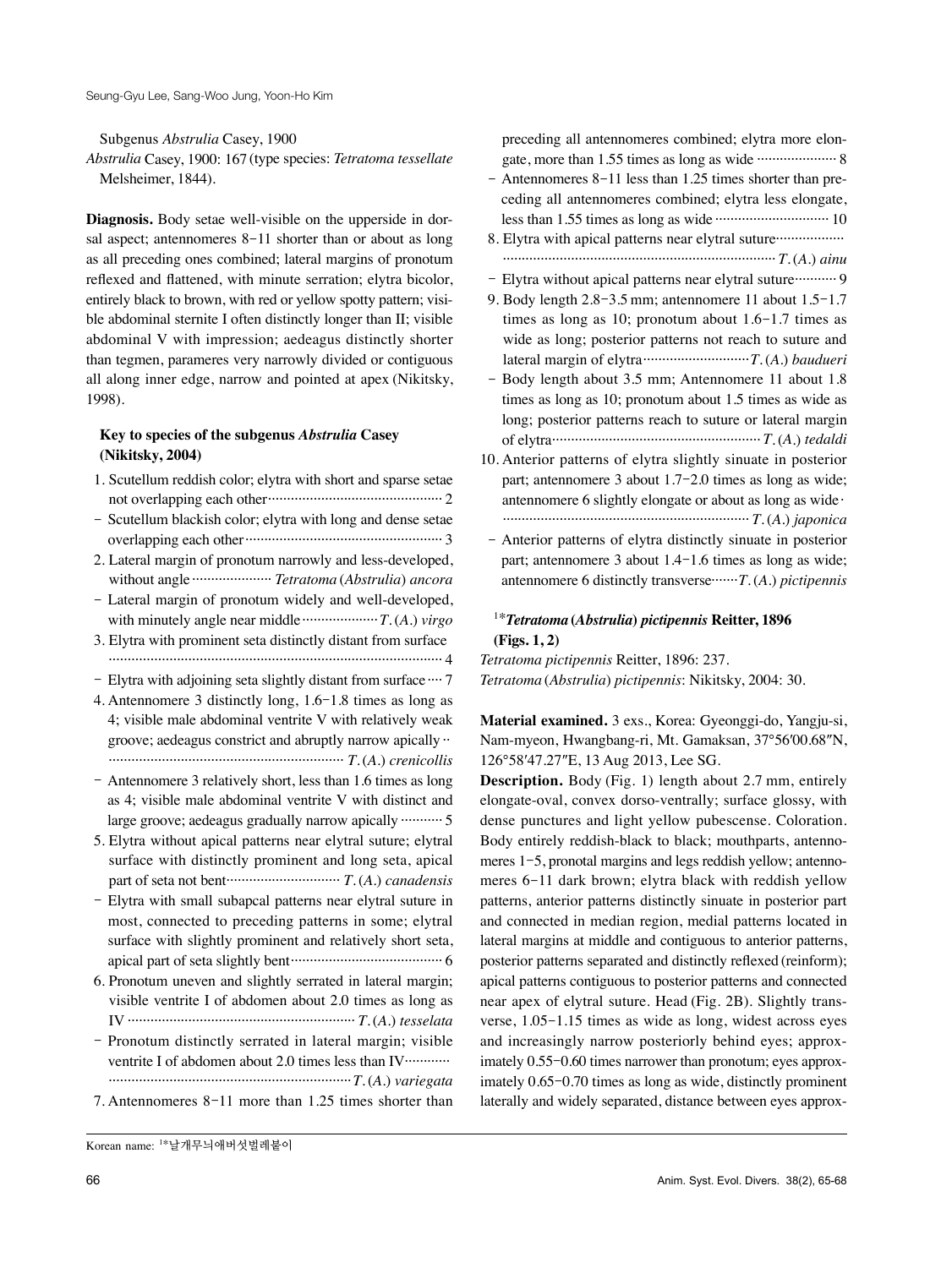Subgenus *Abstrulia* Casey, 1900

*Abstrulia* Casey, 1900: 167 (type species: *Tetratoma tessellate* Melsheimer, 1844).

**Diagnosis.** Body setae well-visible on the upperside in dorsal aspect; antennomeres 8-11 shorter than or about as long as all preceding ones combined; lateral margins of pronotum reflexed and flattened, with minute serration; elytra bicolor, entirely black to brown, with red or yellow spotty pattern; visible abdominal sternite I often distinctly longer than II; visible abdominal V with impression; aedeagus distinctly shorter than tegmen, parameres very narrowly divided or contiguous all along inner edge, narrow and pointed at apex (Nikitsky, 1998).

### **Key to species of the subgenus** *Abstrulia* **Casey (Nikitsky, 2004)**

- 1. Scutellum reddish color; elytra with short and sparse setae not overlapping each other·············································· 2
- Scutellum blackish color; elytra with long and dense setae overlapping each other···················································· 3
- 2. Lateral margin of pronotum narrowly and less-developed, without angle ····················· *Tetratoma* (*Abstrulia*) *ancora*
- Lateral margin of pronotum widely and well-developed, with minutely angle near middle····················*T*.(*A*.) *virgo*
- 3. Elytra with prominent seta distinctly distant from surface ························································································ 4

- Elytra with adjoining seta slightly distant from surface ···· 7

- 4. Antennomere 3 distinctly long, 1.6-1.8 times as long as 4; visible male abdominal ventrite V with relatively weak groove; aedeagus constrict and abruptly narrow apically ·· ······························································ *T*.(*A*.) *crenicollis*
- Antennomere 3 relatively short, less than 1.6 times as long as 4; visible male abdominal ventrite V with distinct and large groove; aedeagus gradually narrow apically ··········· 5
- 5. Elytra without apical patterns near elytral suture; elytral surface with distinctly prominent and long seta, apical part of seta not bent······························ *T*.(*A*.) *canadensis*
- Elytra with small subapcal patterns near elytral suture in most, connected to preceding patterns in some; elytral surface with slightly prominent and relatively short seta, apical part of seta slightly bent········································ 6
- 6. Pronotum uneven and slightly serrated in lateral margin; visible ventrite I of abdomen about 2.0 times as long as IV ···························································· *T*.(*A*.) *tesselata*
- Pronotum distinctly serrated in lateral margin; visible ventrite I of abdomen about 2.0 times less than IV············· ································································*T*.(*A*.) *variegata*
- 7. Antennomeres 8-11 more than 1.25 times shorter than

Korean name: 1\*날개무늬애버섯벌레붙이

preceding all antennomeres combined; elytra more elongate, more than 1.55 times as long as wide ····························· 8

- Antennomeres 8-11 less than 1.25 times shorter than preceding all antennomeres combined; elytra less elongate, less than 1.55 times as long as wide ······························ 10
- 8. Elytra with apical patterns near elytral suture······························ ········································································ *T*.(*A*.) *ainu*
- Elytra without apical patterns near elytral suture··········· 9
- 9. Body length 2.8-3.5 mm; antennomere 11 about 1.5-1.7 times as long as 10; pronotum about 1.6-1.7 times as wide as long; posterior patterns not reach to suture and lateral margin of elytra····························*T*.(*A*.) *baudueri*
- Body length about 3.5 mm; Antennomere 11 about 1.8 times as long as 10; pronotum about 1.5 times as wide as long; posterior patterns reach to suture or lateral margin of elytra······················································· *T*.(*A*.) *tedaldi*
- 10. Anterior patterns of elytra slightly sinuate in posterior part; antennomere 3 about 1.7-2.0 times as long as wide; antennomere 6 slightly elongate or about as long as wide· ································································· *T*.(*A*.) *japonica*
- Anterior patterns of elytra distinctly sinuate in posterior part; antennomere 3 about 1.4-1.6 times as long as wide; antennomere 6 distinctly transverse·······*T*.(*A*.) *pictipennis*

## 1\**Tetratoma* **(***Abstrulia***)** *pictipennis* **Reitter, 1896 (Figs. 1, 2)**

*Tetratoma pictipennis* Reitter, 1896: 237. *Tetratoma* (*Abstrulia*) *pictipennis*: Nikitsky, 2004: 30.

**Material examined.** 3 exs., Korea: Gyeonggi-do, Yangju-si, Nam-myeon, Hwangbang-ri, Mt. Gamaksan, 37°56′00.68″N, 126°58′47.27″E, 13 Aug 2013, Lee SG.

**Description.** Body (Fig. 1) length about 2.7 mm, entirely elongate-oval, convex dorso-ventrally; surface glossy, with dense punctures and light yellow pubescense. Coloration. Body entirely reddish-black to black; mouthparts, antennomeres 1-5, pronotal margins and legs reddish yellow; antennomeres 6-11 dark brown; elytra black with reddish yellow patterns, anterior patterns distinctly sinuate in posterior part and connected in median region, medial patterns located in lateral margins at middle and contiguous to anterior patterns, posterior patterns separated and distinctly reflexed (reinform); apical patterns contiguous to posterior patterns and connected near apex of elytral suture. Head (Fig. 2B). Slightly transverse, 1.05-1.15 times as wide as long, widest across eyes and increasingly narrow posteriorly behind eyes; approximately 0.55-0.60 times narrower than pronotum; eyes approximately 0.65-0.70 times as long as wide, distinctly prominent laterally and widely separated, distance between eyes approx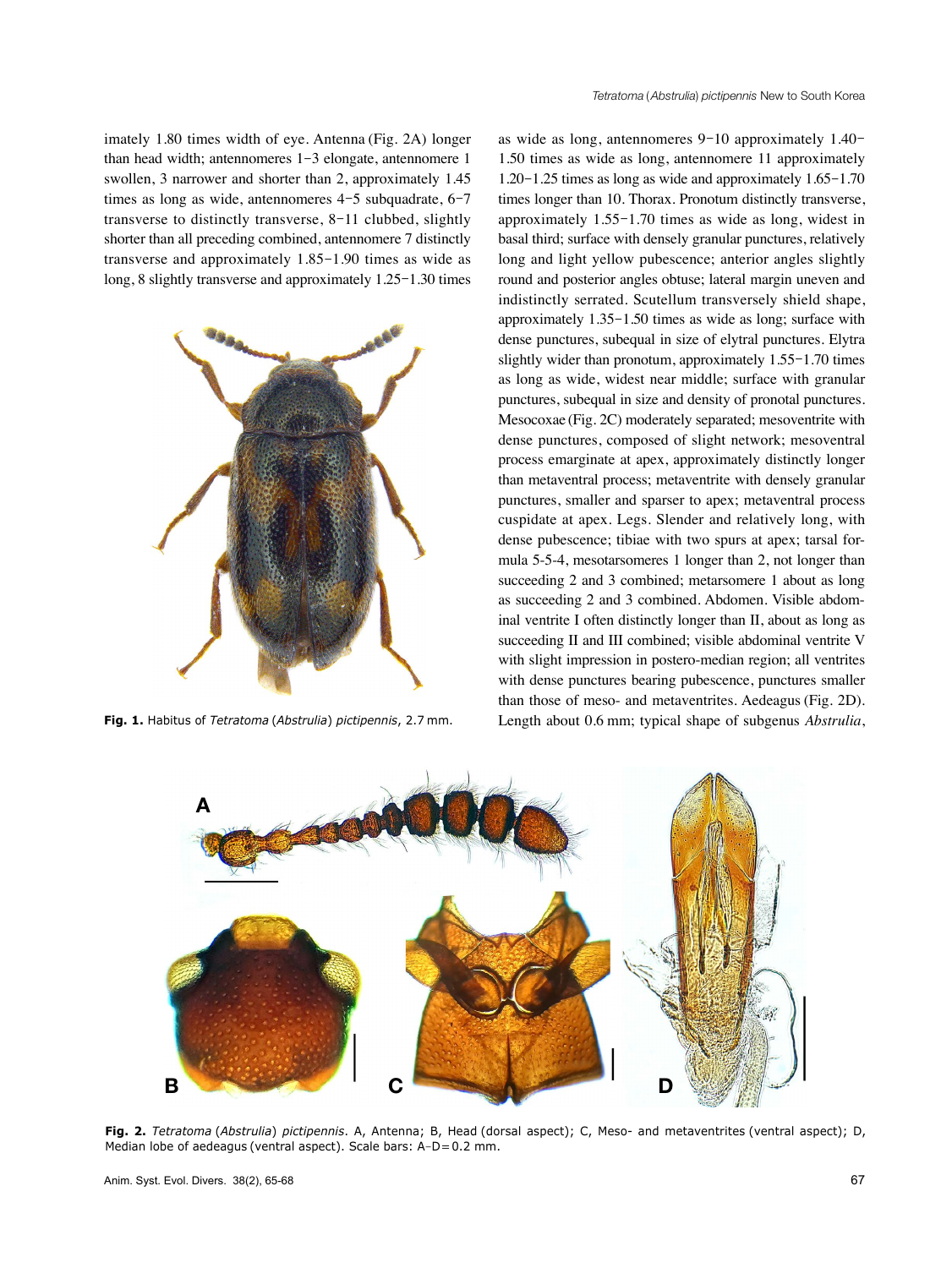imately 1.80 times width of eye. Antenna (Fig. 2A) longer than head width; antennomeres 1-3 elongate, antennomere 1 swollen, 3 narrower and shorter than 2, approximately 1.45 times as long as wide, antennomeres 4-5 subquadrate, 6-7 transverse to distinctly transverse, 8-11 clubbed, slightly shorter than all preceding combined, antennomere 7 distinctly transverse and approximately 1.85-1.90 times as wide as long, 8 slightly transverse and approximately 1.25–1.30 times



as wide as long, antennomeres 9-10 approximately 1.40- 1.50 times as wide as long, antennomere 11 approximately 1.20-1.25 times as long as wide and approximately 1.65-1.70 times longer than 10. Thorax. Pronotum distinctly transverse, approximately 1.55-1.70 times as wide as long, widest in basal third; surface with densely granular punctures, relatively long and light yellow pubescence; anterior angles slightly round and posterior angles obtuse; lateral margin uneven and indistinctly serrated. Scutellum transversely shield shape, approximately 1.35-1.50 times as wide as long; surface with dense punctures, subequal in size of elytral punctures. Elytra slightly wider than pronotum, approximately 1.55-1.70 times as long as wide, widest near middle; surface with granular punctures, subequal in size and density of pronotal punctures. Mesocoxae (Fig. 2C) moderately separated; mesoventrite with dense punctures, composed of slight network; mesoventral process emarginate at apex, approximately distinctly longer than metaventral process; metaventrite with densely granular punctures, smaller and sparser to apex; metaventral process cuspidate at apex. Legs. Slender and relatively long, with dense pubescence; tibiae with two spurs at apex; tarsal formula 5-5-4, mesotarsomeres 1 longer than 2, not longer than succeeding 2 and 3 combined; metarsomere 1 about as long as succeeding 2 and 3 combined. Abdomen. Visible abdominal ventrite I often distinctly longer than II, about as long as succeeding II and III combined; visible abdominal ventrite V with slight impression in postero-median region; all ventrites with dense punctures bearing pubescence, punctures smaller than those of meso- and metaventrites. Aedeagus (Fig. 2D). **Fig. 1.** Habitus of *Tetratoma* (*Abstrulia*) *pictipennis*, 2.7 mm. Length about 0.6 mm; typical shape of subgenus *Abstrulia*,



**Fig. 2.** *Tetratoma* (*Abstrulia*) *pictipennis*. A, Antenna; B, Head (dorsal aspect); C, Meso- and metaventrites (ventral aspect); D, Median lobe of aedeagus (ventral aspect). Scale bars: A-D=0.2 mm.